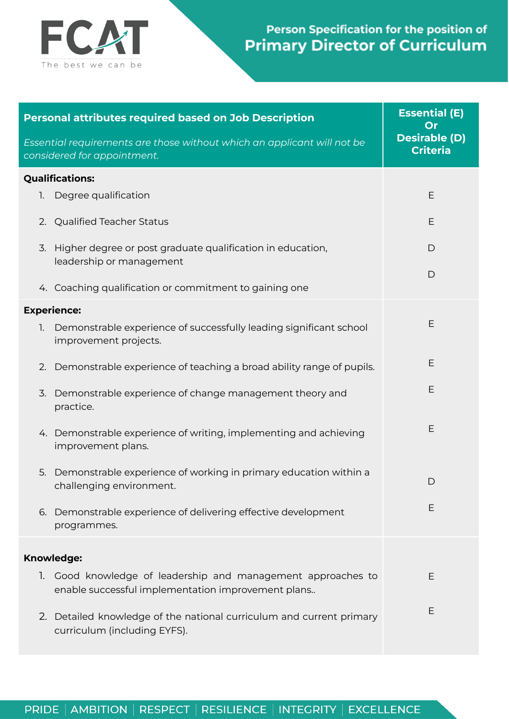

## Person Specification for the position of **Primary Director of Curriculum**

| <b>Personal attributes required based on Job Description</b>                                                          | <b>Essential (E)</b><br>Or              |
|-----------------------------------------------------------------------------------------------------------------------|-----------------------------------------|
| Essential requirements are those without which an applicant will not be<br>considered for appointment.                | <b>Desirable (D)</b><br><b>Criteria</b> |
| <b>Qualifications:</b>                                                                                                |                                         |
| Degree qualification<br>1.                                                                                            | Ε                                       |
| 2. Qualified Teacher Status                                                                                           | E                                       |
| 3. Higher degree or post graduate qualification in education,<br>leadership or management                             | $\mathsf{D}$                            |
| 4. Coaching qualification or commitment to gaining one                                                                | D                                       |
| <b>Experience:</b>                                                                                                    |                                         |
| Demonstrable experience of successfully leading significant school<br>1.<br>improvement projects.                     | Ε                                       |
| Demonstrable experience of teaching a broad ability range of pupils.<br>2.                                            | E                                       |
| Demonstrable experience of change management theory and<br>3.<br>practice.                                            | Е                                       |
| 4. Demonstrable experience of writing, implementing and achieving<br>improvement plans.                               | Е                                       |
| Demonstrable experience of working in primary education within a<br>5.<br>challenging environment.                    | $\mathsf{D}$                            |
| Demonstrable experience of delivering effective development<br>6.<br>programmes.                                      | Ε                                       |
| <b>Knowledge:</b>                                                                                                     |                                         |
| Good knowledge of leadership and management approaches to<br>1.<br>enable successful implementation improvement plans | Ε                                       |
| 2. Detailed knowledge of the national curriculum and current primary<br>curriculum (including EYFS).                  | Ε                                       |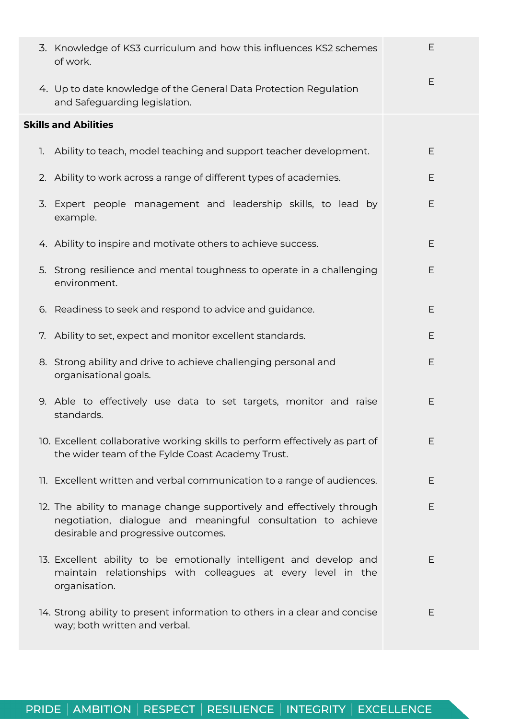| 3. Knowledge of KS3 curriculum and how this influences KS2 schemes<br>of work.                                                                                               | Ε  |
|------------------------------------------------------------------------------------------------------------------------------------------------------------------------------|----|
| 4. Up to date knowledge of the General Data Protection Regulation<br>and Safeguarding legislation.                                                                           | E  |
| <b>Skills and Abilities</b>                                                                                                                                                  |    |
| 1. Ability to teach, model teaching and support teacher development.                                                                                                         | E  |
| 2. Ability to work across a range of different types of academies.                                                                                                           | Ε  |
| 3. Expert people management and leadership skills, to lead by<br>example.                                                                                                    | E  |
| 4. Ability to inspire and motivate others to achieve success.                                                                                                                | E  |
| 5. Strong resilience and mental toughness to operate in a challenging<br>environment.                                                                                        | Ε  |
| 6. Readiness to seek and respond to advice and guidance.                                                                                                                     | E  |
| 7. Ability to set, expect and monitor excellent standards.                                                                                                                   | E  |
| 8. Strong ability and drive to achieve challenging personal and<br>organisational goals.                                                                                     | Ε  |
| 9. Able to effectively use data to set targets, monitor and raise<br>standards.                                                                                              | E  |
| 10. Excellent collaborative working skills to perform effectively as part of<br>the wider team of the Fylde Coast Academy Trust.                                             | Ε  |
| 11. Excellent written and verbal communication to a range of audiences.                                                                                                      | E  |
| 12. The ability to manage change supportively and effectively through<br>negotiation, dialogue and meaningful consultation to achieve<br>desirable and progressive outcomes. | Ε  |
| 13. Excellent ability to be emotionally intelligent and develop and<br>maintain relationships with colleagues at every level in the<br>organisation.                         | E. |
| 14. Strong ability to present information to others in a clear and concise<br>way; both written and verbal.                                                                  | E  |